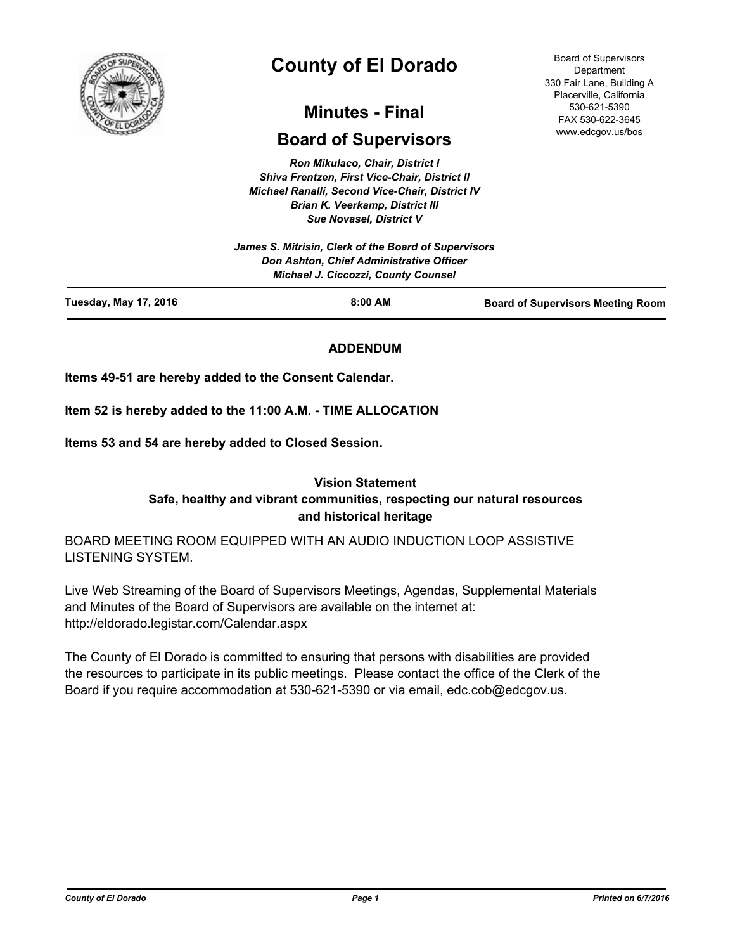

# **County of El Dorado**

## **Minutes - Final**

## **Board of Supervisors**

*Ron Mikulaco, Chair, District I Shiva Frentzen, First Vice-Chair, District II Michael Ranalli, Second Vice-Chair, District IV Brian K. Veerkamp, District III Sue Novasel, District V* 

|                              | James S. Mitrisin, Clerk of the Board of Supervisors<br><b>Don Ashton, Chief Administrative Officer</b><br><b>Michael J. Ciccozzi, County Counsel</b> |                                          |
|------------------------------|-------------------------------------------------------------------------------------------------------------------------------------------------------|------------------------------------------|
| <b>Tuesday, May 17, 2016</b> | $8:00$ AM                                                                                                                                             | <b>Board of Supervisors Meeting Room</b> |

## **ADDENDUM**

**Items 49-51 are hereby added to the Consent Calendar.**

**Item 52 is hereby added to the 11:00 A.M. - TIME ALLOCATION**

**Items 53 and 54 are hereby added to Closed Session.**

## **Vision Statement Safe, healthy and vibrant communities, respecting our natural resources and historical heritage**

BOARD MEETING ROOM EQUIPPED WITH AN AUDIO INDUCTION LOOP ASSISTIVE LISTENING SYSTEM.

Live Web Streaming of the Board of Supervisors Meetings, Agendas, Supplemental Materials and Minutes of the Board of Supervisors are available on the internet at: http://eldorado.legistar.com/Calendar.aspx

The County of El Dorado is committed to ensuring that persons with disabilities are provided the resources to participate in its public meetings. Please contact the office of the Clerk of the Board if you require accommodation at 530-621-5390 or via email, edc.cob@edcgov.us.

Board of Supervisors **Department** 330 Fair Lane, Building A Placerville, California 530-621-5390 FAX 530-622-3645 www.edcgov.us/bos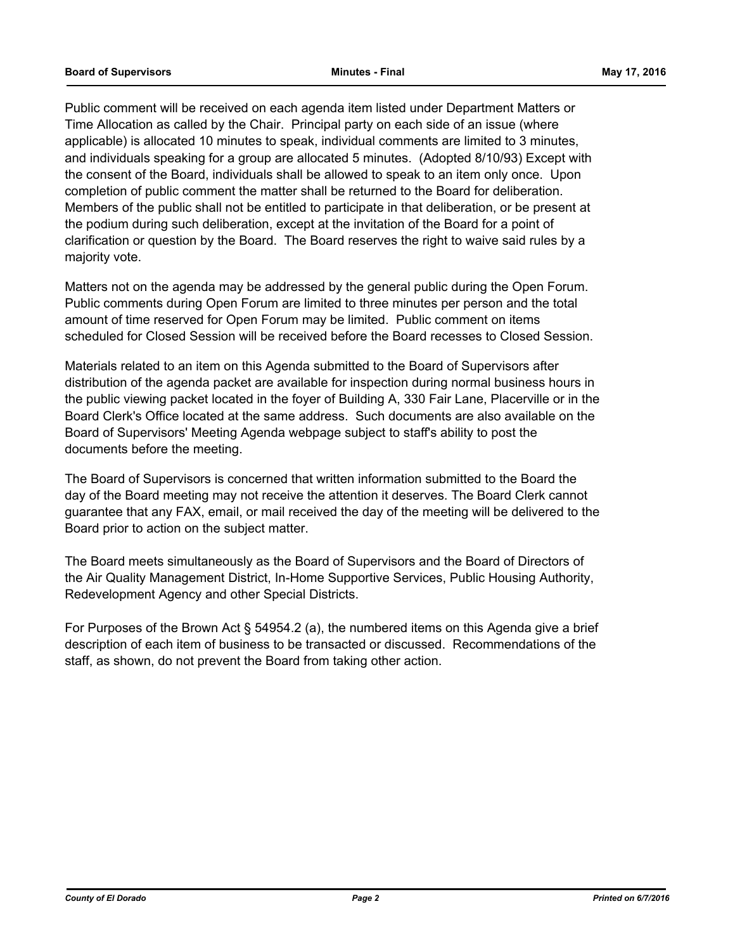Public comment will be received on each agenda item listed under Department Matters or Time Allocation as called by the Chair. Principal party on each side of an issue (where applicable) is allocated 10 minutes to speak, individual comments are limited to 3 minutes, and individuals speaking for a group are allocated 5 minutes. (Adopted 8/10/93) Except with the consent of the Board, individuals shall be allowed to speak to an item only once. Upon completion of public comment the matter shall be returned to the Board for deliberation. Members of the public shall not be entitled to participate in that deliberation, or be present at the podium during such deliberation, except at the invitation of the Board for a point of clarification or question by the Board. The Board reserves the right to waive said rules by a majority vote.

Matters not on the agenda may be addressed by the general public during the Open Forum. Public comments during Open Forum are limited to three minutes per person and the total amount of time reserved for Open Forum may be limited. Public comment on items scheduled for Closed Session will be received before the Board recesses to Closed Session.

Materials related to an item on this Agenda submitted to the Board of Supervisors after distribution of the agenda packet are available for inspection during normal business hours in the public viewing packet located in the foyer of Building A, 330 Fair Lane, Placerville or in the Board Clerk's Office located at the same address. Such documents are also available on the Board of Supervisors' Meeting Agenda webpage subject to staff's ability to post the documents before the meeting.

The Board of Supervisors is concerned that written information submitted to the Board the day of the Board meeting may not receive the attention it deserves. The Board Clerk cannot guarantee that any FAX, email, or mail received the day of the meeting will be delivered to the Board prior to action on the subject matter.

The Board meets simultaneously as the Board of Supervisors and the Board of Directors of the Air Quality Management District, In-Home Supportive Services, Public Housing Authority, Redevelopment Agency and other Special Districts.

For Purposes of the Brown Act § 54954.2 (a), the numbered items on this Agenda give a brief description of each item of business to be transacted or discussed. Recommendations of the staff, as shown, do not prevent the Board from taking other action.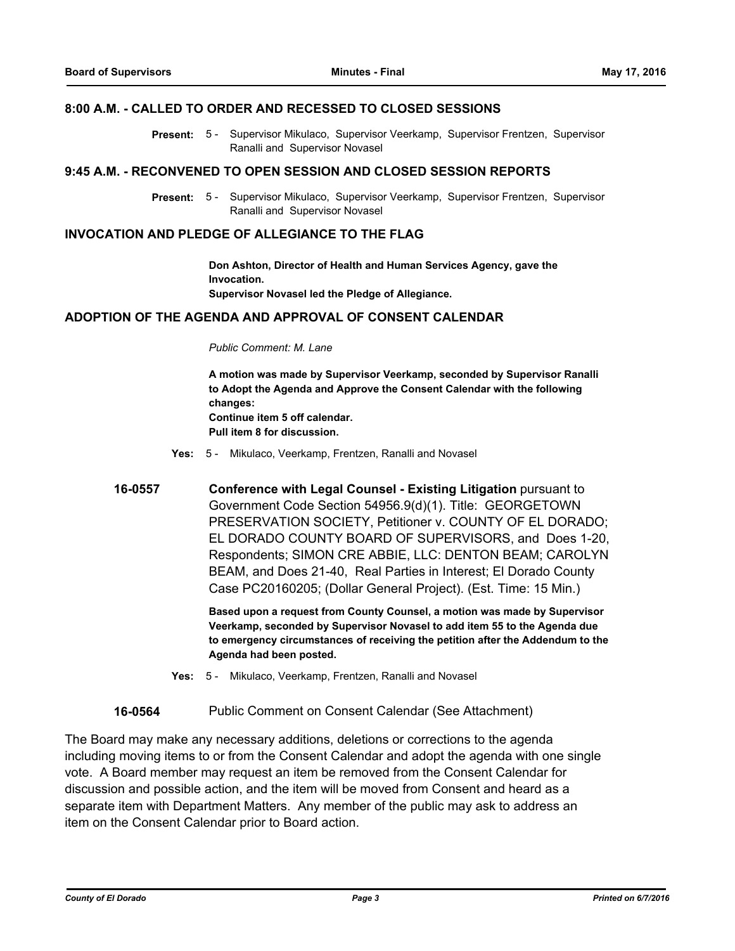#### **8:00 A.M. - CALLED TO ORDER AND RECESSED TO CLOSED SESSIONS**

Present: 5 - Supervisor Mikulaco, Supervisor Veerkamp, Supervisor Frentzen, Supervisor Ranalli and Supervisor Novasel

#### **9:45 A.M. - RECONVENED TO OPEN SESSION AND CLOSED SESSION REPORTS**

Present: 5 - Supervisor Mikulaco, Supervisor Veerkamp, Supervisor Frentzen, Supervisor Ranalli and Supervisor Novasel

#### **INVOCATION AND PLEDGE OF ALLEGIANCE TO THE FLAG**

**Don Ashton, Director of Health and Human Services Agency, gave the Invocation. Supervisor Novasel led the Pledge of Allegiance.**

#### **ADOPTION OF THE AGENDA AND APPROVAL OF CONSENT CALENDAR**

#### *Public Comment: M. Lane*

**A motion was made by Supervisor Veerkamp, seconded by Supervisor Ranalli to Adopt the Agenda and Approve the Consent Calendar with the following changes: Continue item 5 off calendar. Pull item 8 for discussion.**

- **Yes:** 5 Mikulaco, Veerkamp, Frentzen, Ranalli and Novasel
- **16-0557 Conference with Legal Counsel - Existing Litigation** pursuant to Government Code Section 54956.9(d)(1). Title: GEORGETOWN PRESERVATION SOCIETY, Petitioner v. COUNTY OF EL DORADO; EL DORADO COUNTY BOARD OF SUPERVISORS, and Does 1-20, Respondents; SIMON CRE ABBIE, LLC: DENTON BEAM; CAROLYN BEAM, and Does 21-40, Real Parties in Interest; El Dorado County Case PC20160205; (Dollar General Project). (Est. Time: 15 Min.)

**Based upon a request from County Counsel, a motion was made by Supervisor Veerkamp, seconded by Supervisor Novasel to add item 55 to the Agenda due to emergency circumstances of receiving the petition after the Addendum to the Agenda had been posted.**

**Yes:** 5 - Mikulaco, Veerkamp, Frentzen, Ranalli and Novasel

**16-0564** Public Comment on Consent Calendar (See Attachment)

The Board may make any necessary additions, deletions or corrections to the agenda including moving items to or from the Consent Calendar and adopt the agenda with one single vote. A Board member may request an item be removed from the Consent Calendar for discussion and possible action, and the item will be moved from Consent and heard as a separate item with Department Matters. Any member of the public may ask to address an item on the Consent Calendar prior to Board action.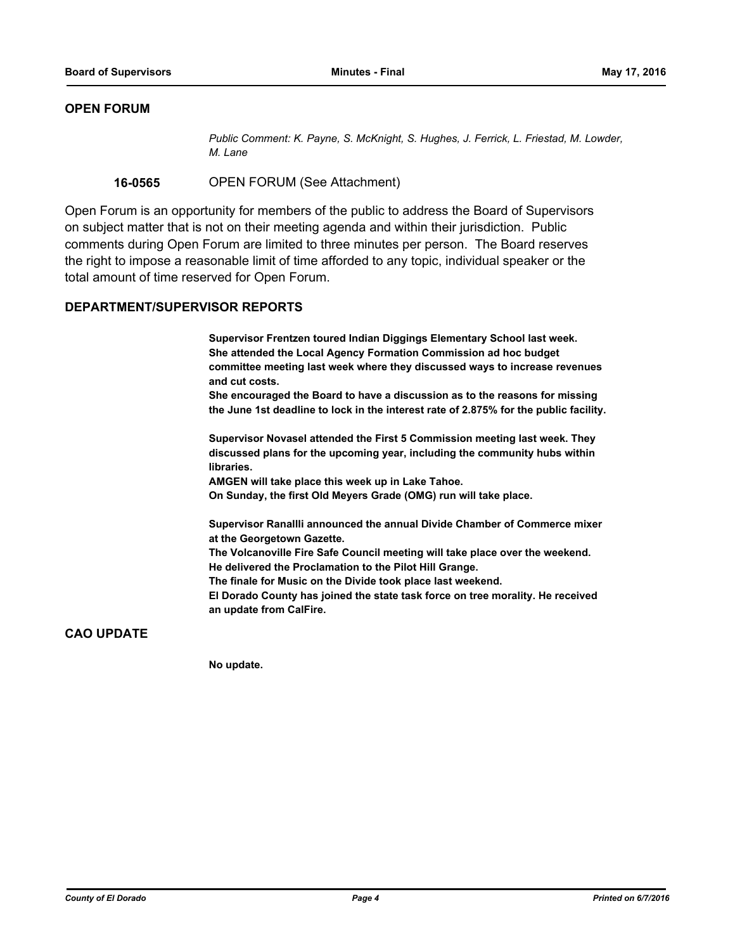## **OPEN FORUM**

*Public Comment: K. Payne, S. McKnight, S. Hughes, J. Ferrick, L. Friestad, M. Lowder, M. Lane*

**16-0565** OPEN FORUM (See Attachment)

Open Forum is an opportunity for members of the public to address the Board of Supervisors on subject matter that is not on their meeting agenda and within their jurisdiction. Public comments during Open Forum are limited to three minutes per person. The Board reserves the right to impose a reasonable limit of time afforded to any topic, individual speaker or the total amount of time reserved for Open Forum.

#### **DEPARTMENT/SUPERVISOR REPORTS**

**Supervisor Frentzen toured Indian Diggings Elementary School last week. She attended the Local Agency Formation Commission ad hoc budget committee meeting last week where they discussed ways to increase revenues and cut costs.**

**She encouraged the Board to have a discussion as to the reasons for missing the June 1st deadline to lock in the interest rate of 2.875% for the public facility.**

**Supervisor Novasel attended the First 5 Commission meeting last week. They discussed plans for the upcoming year, including the community hubs within libraries.**

**AMGEN will take place this week up in Lake Tahoe.**

**On Sunday, the first Old Meyers Grade (OMG) run will take place.**

**Supervisor Ranallli announced the annual Divide Chamber of Commerce mixer at the Georgetown Gazette.**

**The Volcanoville Fire Safe Council meeting will take place over the weekend. He delivered the Proclamation to the Pilot Hill Grange.**

**The finale for Music on the Divide took place last weekend.**

**El Dorado County has joined the state task force on tree morality. He received an update from CalFire.**

## **CAO UPDATE**

**No update.**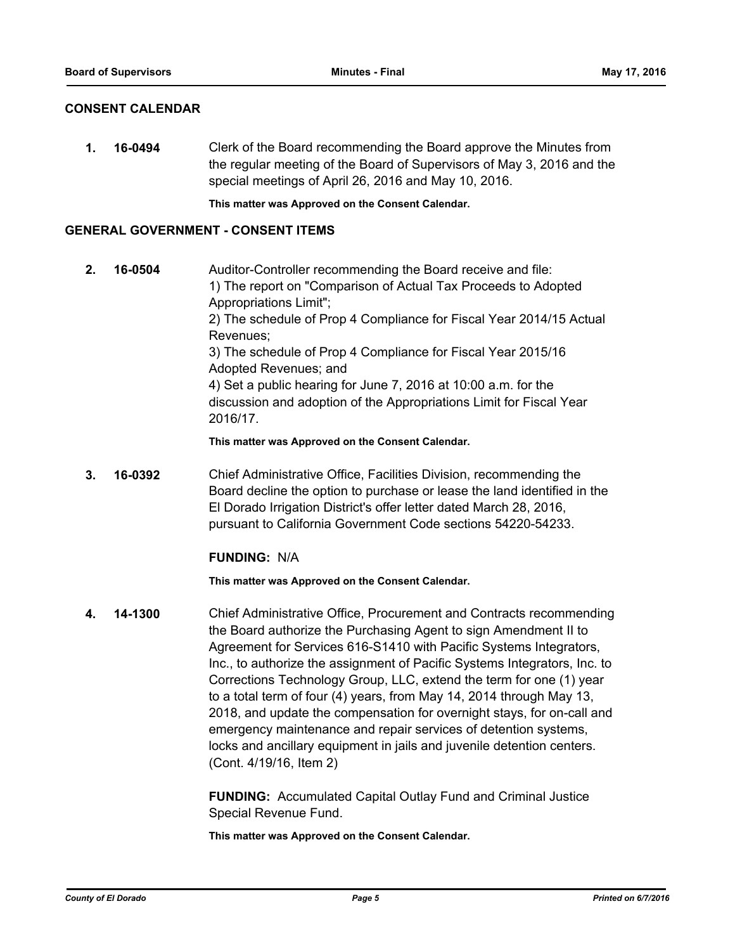### **CONSENT CALENDAR**

**1. 16-0494** Clerk of the Board recommending the Board approve the Minutes from the regular meeting of the Board of Supervisors of May 3, 2016 and the special meetings of April 26, 2016 and May 10, 2016.

**This matter was Approved on the Consent Calendar.**

#### **GENERAL GOVERNMENT - CONSENT ITEMS**

**2. 16-0504** Auditor-Controller recommending the Board receive and file: 1) The report on "Comparison of Actual Tax Proceeds to Adopted Appropriations Limit"; 2) The schedule of Prop 4 Compliance for Fiscal Year 2014/15 Actual Revenues; 3) The schedule of Prop 4 Compliance for Fiscal Year 2015/16 Adopted Revenues; and 4) Set a public hearing for June 7, 2016 at 10:00 a.m. for the discussion and adoption of the Appropriations Limit for Fiscal Year 2016/17.

**This matter was Approved on the Consent Calendar.**

**3. 16-0392** Chief Administrative Office, Facilities Division, recommending the Board decline the option to purchase or lease the land identified in the El Dorado Irrigation District's offer letter dated March 28, 2016, pursuant to California Government Code sections 54220-54233.

## **FUNDING:** N/A

**This matter was Approved on the Consent Calendar.**

**4. 14-1300** Chief Administrative Office, Procurement and Contracts recommending the Board authorize the Purchasing Agent to sign Amendment II to Agreement for Services 616-S1410 with Pacific Systems Integrators, Inc., to authorize the assignment of Pacific Systems Integrators, Inc. to Corrections Technology Group, LLC, extend the term for one (1) year to a total term of four (4) years, from May 14, 2014 through May 13, 2018, and update the compensation for overnight stays, for on-call and emergency maintenance and repair services of detention systems, locks and ancillary equipment in jails and juvenile detention centers. (Cont. 4/19/16, Item 2)

> **FUNDING:** Accumulated Capital Outlay Fund and Criminal Justice Special Revenue Fund.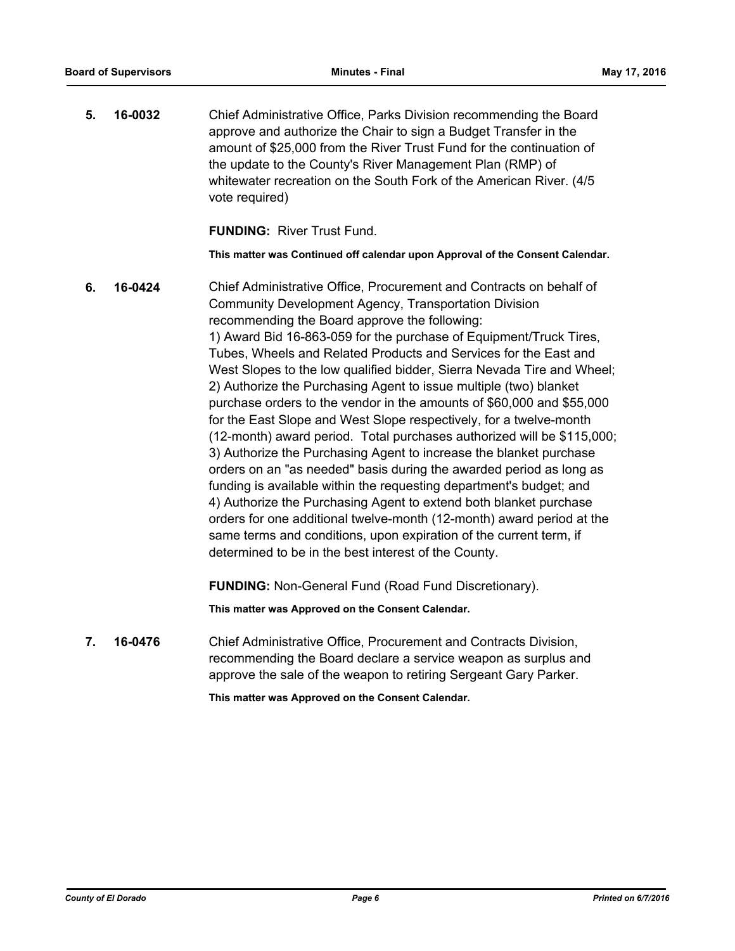**5. 16-0032** Chief Administrative Office, Parks Division recommending the Board approve and authorize the Chair to sign a Budget Transfer in the amount of \$25,000 from the River Trust Fund for the continuation of the update to the County's River Management Plan (RMP) of whitewater recreation on the South Fork of the American River. (4/5 vote required)

**FUNDING:** River Trust Fund.

**This matter was Continued off calendar upon Approval of the Consent Calendar.**

**6. 16-0424** Chief Administrative Office, Procurement and Contracts on behalf of Community Development Agency, Transportation Division recommending the Board approve the following: 1) Award Bid 16-863-059 for the purchase of Equipment/Truck Tires, Tubes, Wheels and Related Products and Services for the East and West Slopes to the low qualified bidder, Sierra Nevada Tire and Wheel; 2) Authorize the Purchasing Agent to issue multiple (two) blanket purchase orders to the vendor in the amounts of \$60,000 and \$55,000 for the East Slope and West Slope respectively, for a twelve-month (12-month) award period. Total purchases authorized will be \$115,000; 3) Authorize the Purchasing Agent to increase the blanket purchase orders on an "as needed" basis during the awarded period as long as funding is available within the requesting department's budget; and 4) Authorize the Purchasing Agent to extend both blanket purchase orders for one additional twelve-month (12-month) award period at the same terms and conditions, upon expiration of the current term, if determined to be in the best interest of the County. **FUNDING:** Non-General Fund (Road Fund Discretionary).

**This matter was Approved on the Consent Calendar.**

**7. 16-0476** Chief Administrative Office, Procurement and Contracts Division, recommending the Board declare a service weapon as surplus and approve the sale of the weapon to retiring Sergeant Gary Parker.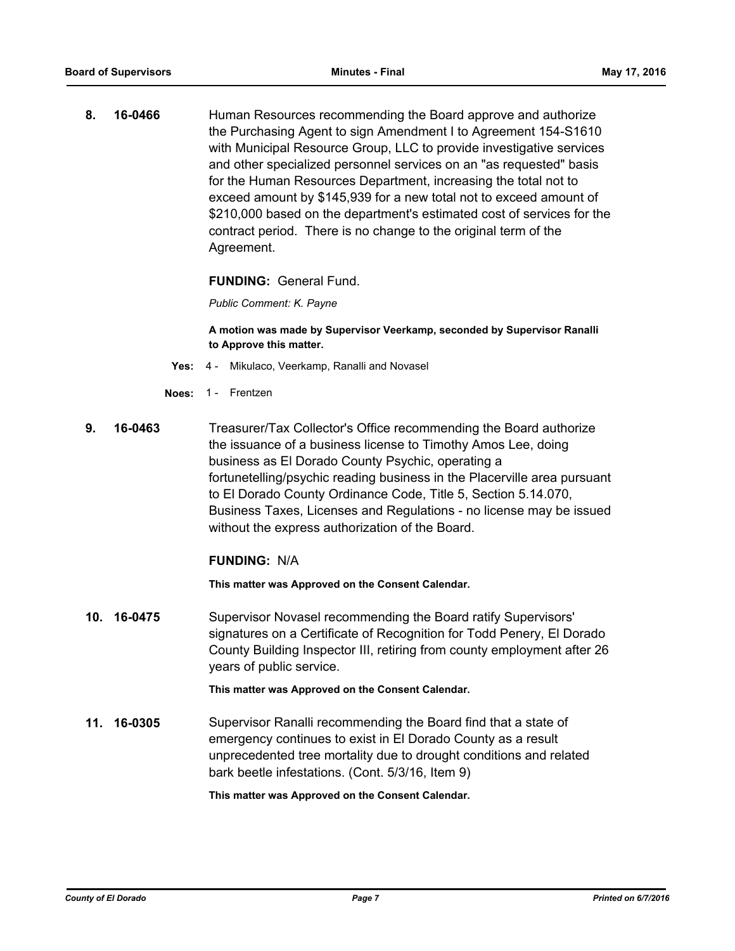**8. 16-0466** Human Resources recommending the Board approve and authorize the Purchasing Agent to sign Amendment I to Agreement 154-S1610 with Municipal Resource Group, LLC to provide investigative services and other specialized personnel services on an "as requested" basis for the Human Resources Department, increasing the total not to exceed amount by \$145,939 for a new total not to exceed amount of \$210,000 based on the department's estimated cost of services for the contract period. There is no change to the original term of the Agreement.

**FUNDING:** General Fund.

*Public Comment: K. Payne*

**A motion was made by Supervisor Veerkamp, seconded by Supervisor Ranalli to Approve this matter.**

- **Yes:** 4 Mikulaco, Veerkamp, Ranalli and Novasel
- **Noes:** 1 Frentzen
- **9. 16-0463** Treasurer/Tax Collector's Office recommending the Board authorize the issuance of a business license to Timothy Amos Lee, doing business as El Dorado County Psychic, operating a fortunetelling/psychic reading business in the Placerville area pursuant to El Dorado County Ordinance Code, Title 5, Section 5.14.070, Business Taxes, Licenses and Regulations - no license may be issued without the express authorization of the Board.

#### **FUNDING:** N/A

**This matter was Approved on the Consent Calendar.**

**10. 16-0475** Supervisor Novasel recommending the Board ratify Supervisors' signatures on a Certificate of Recognition for Todd Penery, El Dorado County Building Inspector III, retiring from county employment after 26 years of public service.

**This matter was Approved on the Consent Calendar.**

**11. 16-0305** Supervisor Ranalli recommending the Board find that a state of emergency continues to exist in El Dorado County as a result unprecedented tree mortality due to drought conditions and related bark beetle infestations. (Cont. 5/3/16, Item 9)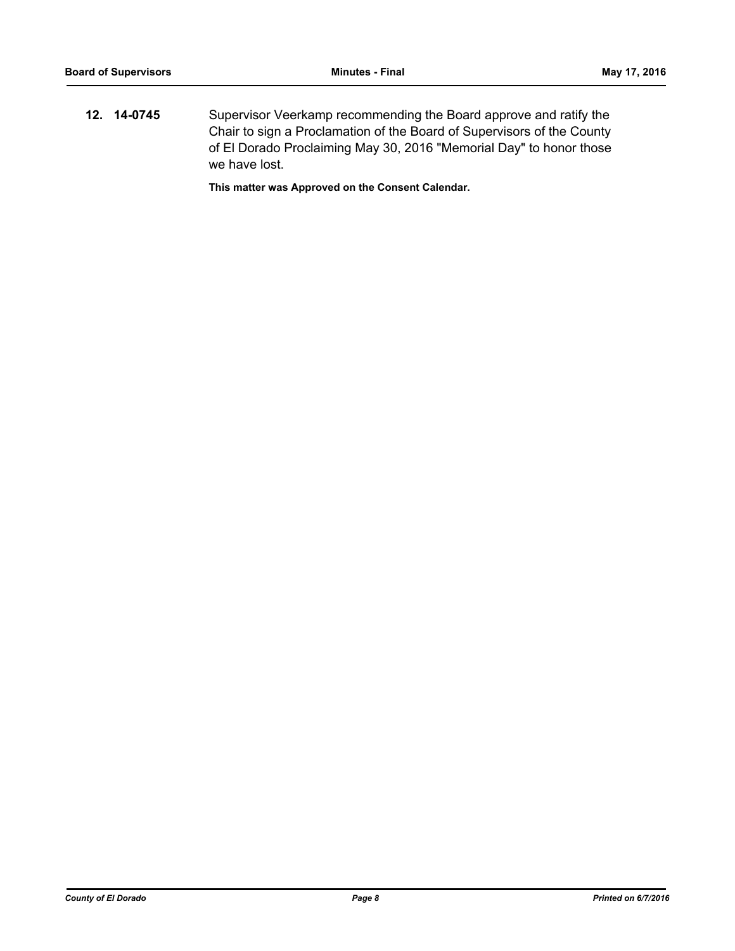**12. 14-0745** Supervisor Veerkamp recommending the Board approve and ratify the Chair to sign a Proclamation of the Board of Supervisors of the County of El Dorado Proclaiming May 30, 2016 "Memorial Day" to honor those we have lost.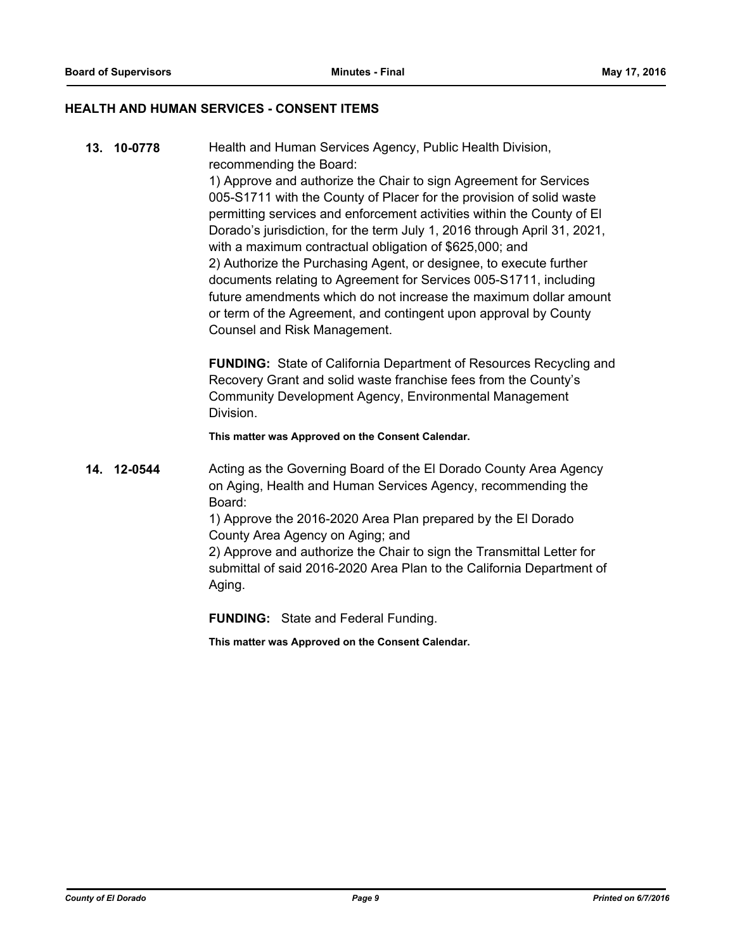#### **HEALTH AND HUMAN SERVICES - CONSENT ITEMS**

**13. 10-0778** Health and Human Services Agency, Public Health Division, recommending the Board: 1) Approve and authorize the Chair to sign Agreement for Services 005-S1711 with the County of Placer for the provision of solid waste permitting services and enforcement activities within the County of El Dorado's jurisdiction, for the term July 1, 2016 through April 31, 2021, with a maximum contractual obligation of \$625,000; and 2) Authorize the Purchasing Agent, or designee, to execute further documents relating to Agreement for Services 005-S1711, including future amendments which do not increase the maximum dollar amount or term of the Agreement, and contingent upon approval by County Counsel and Risk Management.

> **FUNDING:** State of California Department of Resources Recycling and Recovery Grant and solid waste franchise fees from the County's Community Development Agency, Environmental Management Division.

**This matter was Approved on the Consent Calendar.**

**14. 12-0544** Acting as the Governing Board of the El Dorado County Area Agency on Aging, Health and Human Services Agency, recommending the Board: 1) Approve the 2016-2020 Area Plan prepared by the El Dorado County Area Agency on Aging; and

2) Approve and authorize the Chair to sign the Transmittal Letter for submittal of said 2016-2020 Area Plan to the California Department of Aging.

**FUNDING:** State and Federal Funding.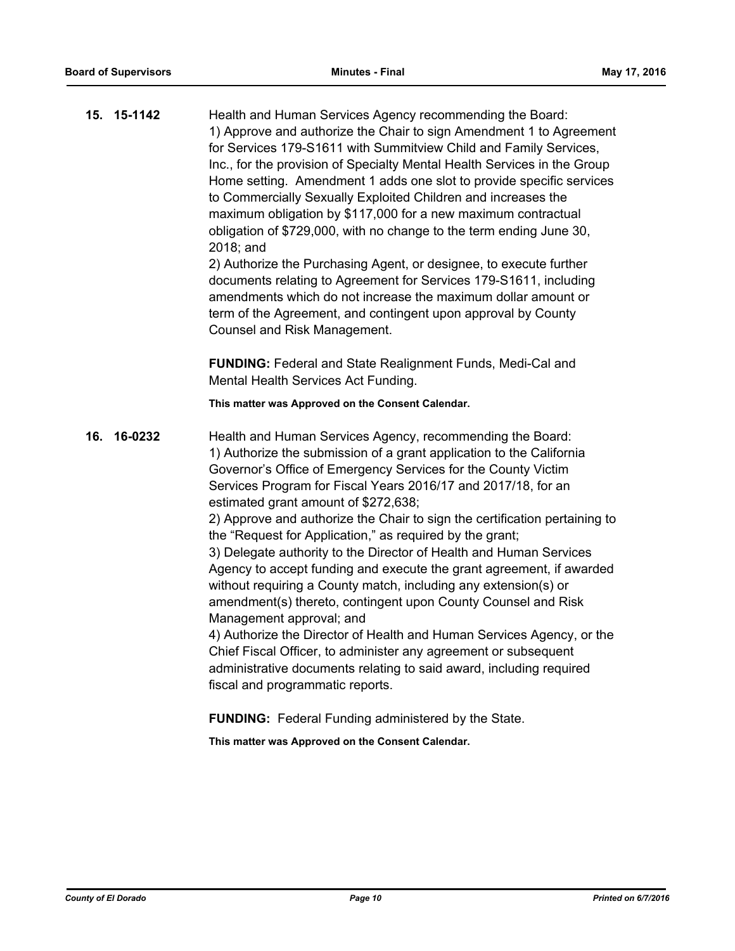|     | 15. 15-1142 | Health and Human Services Agency recommending the Board:<br>1) Approve and authorize the Chair to sign Amendment 1 to Agreement<br>for Services 179-S1611 with Summitview Child and Family Services,<br>Inc., for the provision of Specialty Mental Health Services in the Group<br>Home setting. Amendment 1 adds one slot to provide specific services<br>to Commercially Sexually Exploited Children and increases the<br>maximum obligation by \$117,000 for a new maximum contractual<br>obligation of \$729,000, with no change to the term ending June 30,<br>2018; and<br>2) Authorize the Purchasing Agent, or designee, to execute further<br>documents relating to Agreement for Services 179-S1611, including<br>amendments which do not increase the maximum dollar amount or<br>term of the Agreement, and contingent upon approval by County<br>Counsel and Risk Management.                                                                                                                                |
|-----|-------------|----------------------------------------------------------------------------------------------------------------------------------------------------------------------------------------------------------------------------------------------------------------------------------------------------------------------------------------------------------------------------------------------------------------------------------------------------------------------------------------------------------------------------------------------------------------------------------------------------------------------------------------------------------------------------------------------------------------------------------------------------------------------------------------------------------------------------------------------------------------------------------------------------------------------------------------------------------------------------------------------------------------------------|
|     |             | FUNDING: Federal and State Realignment Funds, Medi-Cal and<br>Mental Health Services Act Funding.                                                                                                                                                                                                                                                                                                                                                                                                                                                                                                                                                                                                                                                                                                                                                                                                                                                                                                                          |
|     |             | This matter was Approved on the Consent Calendar.                                                                                                                                                                                                                                                                                                                                                                                                                                                                                                                                                                                                                                                                                                                                                                                                                                                                                                                                                                          |
| 16. | 16-0232     | Health and Human Services Agency, recommending the Board:<br>1) Authorize the submission of a grant application to the California<br>Governor's Office of Emergency Services for the County Victim<br>Services Program for Fiscal Years 2016/17 and 2017/18, for an<br>estimated grant amount of \$272,638;<br>2) Approve and authorize the Chair to sign the certification pertaining to<br>the "Request for Application," as required by the grant;<br>3) Delegate authority to the Director of Health and Human Services<br>Agency to accept funding and execute the grant agreement, if awarded<br>without requiring a County match, including any extension(s) or<br>amendment(s) thereto, contingent upon County Counsel and Risk<br>Management approval; and<br>4) Authorize the Director of Health and Human Services Agency, or the<br>Chief Fiscal Officer, to administer any agreement or subsequent<br>administrative documents relating to said award, including required<br>fiscal and programmatic reports. |
|     |             |                                                                                                                                                                                                                                                                                                                                                                                                                                                                                                                                                                                                                                                                                                                                                                                                                                                                                                                                                                                                                            |

**FUNDING:** Federal Funding administered by the State.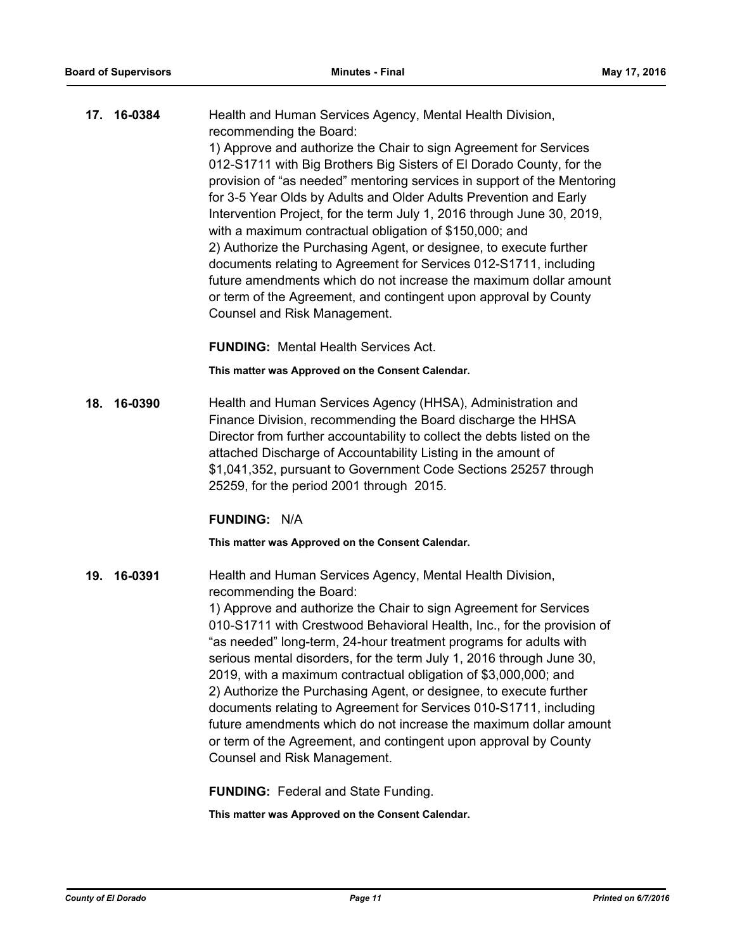| 17. 16-0384 | Health and Human Services Agency, Mental Health Division,                                                                                                                                                                                                                                                                                                                                                                                                                                                                                                                                                                                                                                                                                                                     |
|-------------|-------------------------------------------------------------------------------------------------------------------------------------------------------------------------------------------------------------------------------------------------------------------------------------------------------------------------------------------------------------------------------------------------------------------------------------------------------------------------------------------------------------------------------------------------------------------------------------------------------------------------------------------------------------------------------------------------------------------------------------------------------------------------------|
|             | recommending the Board:<br>1) Approve and authorize the Chair to sign Agreement for Services<br>012-S1711 with Big Brothers Big Sisters of El Dorado County, for the<br>provision of "as needed" mentoring services in support of the Mentoring<br>for 3-5 Year Olds by Adults and Older Adults Prevention and Early<br>Intervention Project, for the term July 1, 2016 through June 30, 2019,<br>with a maximum contractual obligation of \$150,000; and<br>2) Authorize the Purchasing Agent, or designee, to execute further<br>documents relating to Agreement for Services 012-S1711, including<br>future amendments which do not increase the maximum dollar amount<br>or term of the Agreement, and contingent upon approval by County<br>Counsel and Risk Management. |
|             |                                                                                                                                                                                                                                                                                                                                                                                                                                                                                                                                                                                                                                                                                                                                                                               |

**FUNDING:** Mental Health Services Act.

**This matter was Approved on the Consent Calendar.**

**18. 16-0390** Health and Human Services Agency (HHSA), Administration and Finance Division, recommending the Board discharge the HHSA Director from further accountability to collect the debts listed on the attached Discharge of Accountability Listing in the amount of \$1,041,352, pursuant to Government Code Sections 25257 through 25259, for the period 2001 through 2015.

#### **FUNDING:** N/A

**This matter was Approved on the Consent Calendar.**

**19. 16-0391** Health and Human Services Agency, Mental Health Division, recommending the Board:

> 1) Approve and authorize the Chair to sign Agreement for Services 010-S1711 with Crestwood Behavioral Health, Inc., for the provision of "as needed" long-term, 24-hour treatment programs for adults with serious mental disorders, for the term July 1, 2016 through June 30, 2019, with a maximum contractual obligation of \$3,000,000; and 2) Authorize the Purchasing Agent, or designee, to execute further documents relating to Agreement for Services 010-S1711, including future amendments which do not increase the maximum dollar amount or term of the Agreement, and contingent upon approval by County Counsel and Risk Management.

**FUNDING:** Federal and State Funding.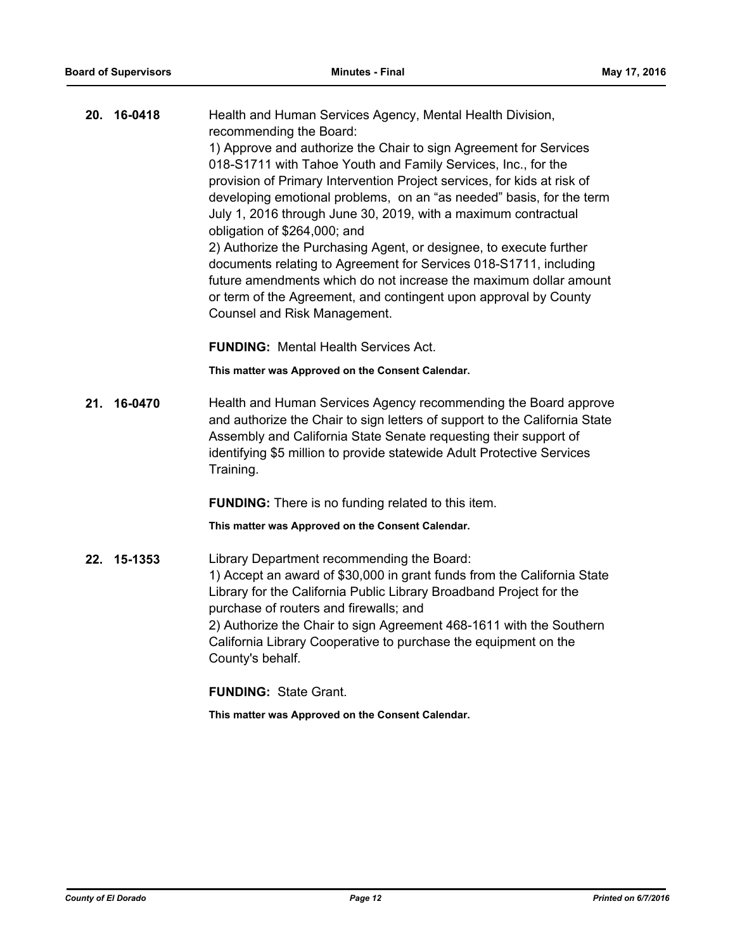| 20. | 16-0418 | Health and Human Services Agency, Mental Health Division,<br>recommending the Board:                                                   |
|-----|---------|----------------------------------------------------------------------------------------------------------------------------------------|
|     |         | 1) Approve and authorize the Chair to sign Agreement for Services                                                                      |
|     |         | 018-S1711 with Tahoe Youth and Family Services, Inc., for the                                                                          |
|     |         | provision of Primary Intervention Project services, for kids at risk of                                                                |
|     |         | developing emotional problems, on an "as needed" basis, for the term                                                                   |
|     |         | July 1, 2016 through June 30, 2019, with a maximum contractual                                                                         |
|     |         | obligation of \$264,000; and                                                                                                           |
|     |         | 2) Authorize the Purchasing Agent, or designee, to execute further                                                                     |
|     |         | documents relating to Agreement for Services 018-S1711, including<br>future amendments which do not increase the maximum dollar amount |
|     |         | or term of the Agreement, and contingent upon approval by County                                                                       |
|     |         | Counsel and Risk Management.                                                                                                           |
|     |         |                                                                                                                                        |
|     |         | <b>FUNDING: Mental Health Services Act.</b>                                                                                            |
|     |         | This matter was Approved on the Consent Calendar.                                                                                      |
| 21. | 16-0470 | Health and Human Services Agency recommending the Board approve                                                                        |
|     |         | and authorize the Chair to sign letters of support to the California State                                                             |
|     |         | Assembly and California State Senate requesting their support of                                                                       |
|     |         | identifying \$5 million to provide statewide Adult Protective Services<br>Training.                                                    |
|     |         |                                                                                                                                        |
|     |         | <b>FUNDING:</b> There is no funding related to this item.                                                                              |
|     |         | This matter was Approved on the Consent Calendar.                                                                                      |
| 22. | 15-1353 | Library Department recommending the Board:                                                                                             |
|     |         | 1) Accept an award of \$30,000 in grant funds from the California State                                                                |
|     |         | Library for the California Public Library Broadband Project for the                                                                    |
|     |         | purchase of routers and firewalls; and                                                                                                 |
|     |         | 2) Authorize the Chair to sign Agreement 468-1611 with the Southern                                                                    |
|     |         | California Library Cooperative to purchase the equipment on the<br>County's behalf.                                                    |
|     |         |                                                                                                                                        |
|     |         | <b>FUNDING: State Grant.</b>                                                                                                           |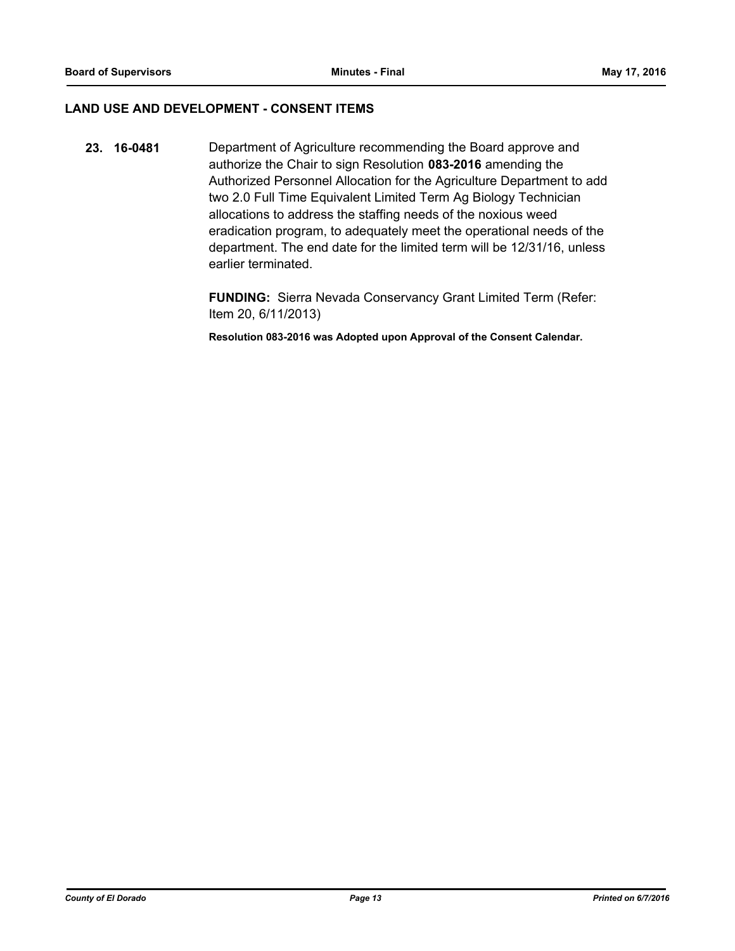### **LAND USE AND DEVELOPMENT - CONSENT ITEMS**

**23. 16-0481** Department of Agriculture recommending the Board approve and authorize the Chair to sign Resolution **083-2016** amending the Authorized Personnel Allocation for the Agriculture Department to add two 2.0 Full Time Equivalent Limited Term Ag Biology Technician allocations to address the staffing needs of the noxious weed eradication program, to adequately meet the operational needs of the department. The end date for the limited term will be 12/31/16, unless earlier terminated.

> **FUNDING:** Sierra Nevada Conservancy Grant Limited Term (Refer: Item 20, 6/11/2013)

**Resolution 083-2016 was Adopted upon Approval of the Consent Calendar.**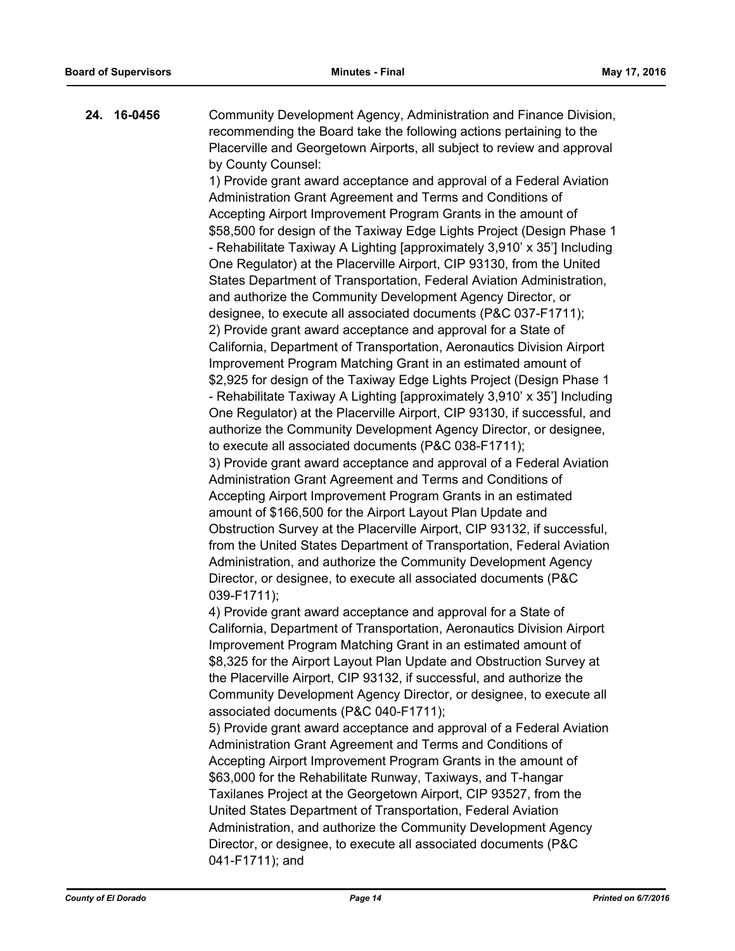**24. 16-0456** Community Development Agency, Administration and Finance Division, recommending the Board take the following actions pertaining to the Placerville and Georgetown Airports, all subject to review and approval by County Counsel:

> 1) Provide grant award acceptance and approval of a Federal Aviation Administration Grant Agreement and Terms and Conditions of Accepting Airport Improvement Program Grants in the amount of \$58,500 for design of the Taxiway Edge Lights Project (Design Phase 1 - Rehabilitate Taxiway A Lighting [approximately 3,910' x 35'] Including One Regulator) at the Placerville Airport, CIP 93130, from the United States Department of Transportation, Federal Aviation Administration, and authorize the Community Development Agency Director, or designee, to execute all associated documents (P&C 037-F1711); 2) Provide grant award acceptance and approval for a State of California, Department of Transportation, Aeronautics Division Airport Improvement Program Matching Grant in an estimated amount of \$2,925 for design of the Taxiway Edge Lights Project (Design Phase 1 - Rehabilitate Taxiway A Lighting [approximately 3,910' x 35'] Including One Regulator) at the Placerville Airport, CIP 93130, if successful, and authorize the Community Development Agency Director, or designee, to execute all associated documents (P&C 038-F1711);

> 3) Provide grant award acceptance and approval of a Federal Aviation Administration Grant Agreement and Terms and Conditions of Accepting Airport Improvement Program Grants in an estimated amount of \$166,500 for the Airport Layout Plan Update and Obstruction Survey at the Placerville Airport, CIP 93132, if successful, from the United States Department of Transportation, Federal Aviation Administration, and authorize the Community Development Agency Director, or designee, to execute all associated documents (P&C 039-F1711);

> 4) Provide grant award acceptance and approval for a State of California, Department of Transportation, Aeronautics Division Airport Improvement Program Matching Grant in an estimated amount of \$8,325 for the Airport Layout Plan Update and Obstruction Survey at the Placerville Airport, CIP 93132, if successful, and authorize the Community Development Agency Director, or designee, to execute all associated documents (P&C 040-F1711);

> 5) Provide grant award acceptance and approval of a Federal Aviation Administration Grant Agreement and Terms and Conditions of Accepting Airport Improvement Program Grants in the amount of \$63,000 for the Rehabilitate Runway, Taxiways, and T-hangar Taxilanes Project at the Georgetown Airport, CIP 93527, from the United States Department of Transportation, Federal Aviation Administration, and authorize the Community Development Agency Director, or designee, to execute all associated documents (P&C 041-F1711); and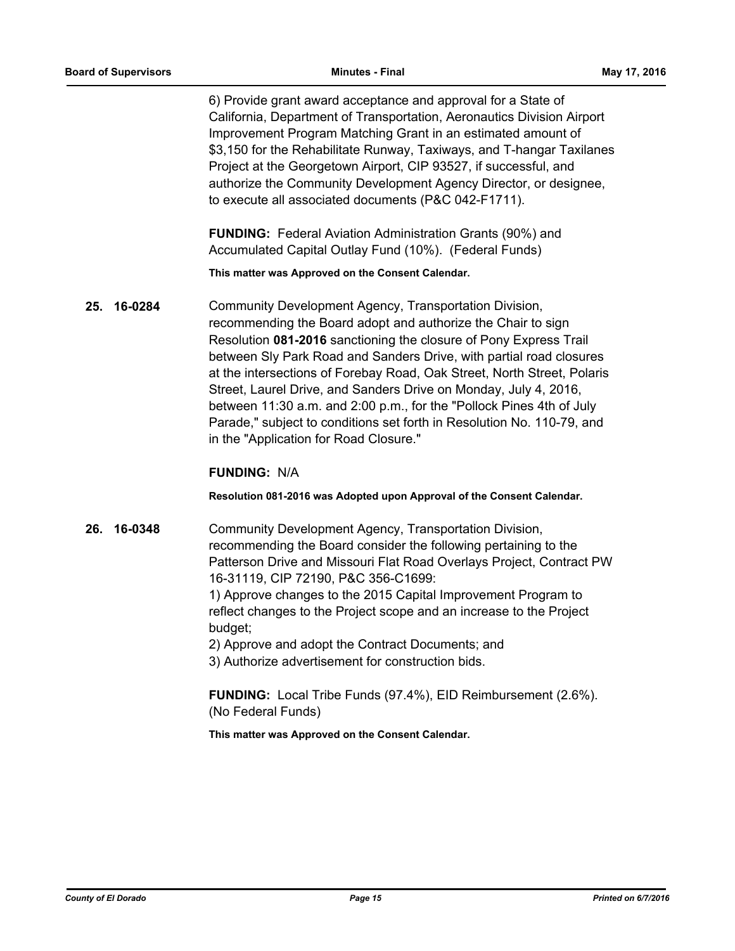6) Provide grant award acceptance and approval for a State of California, Department of Transportation, Aeronautics Division Airport Improvement Program Matching Grant in an estimated amount of \$3,150 for the Rehabilitate Runway, Taxiways, and T-hangar Taxilanes Project at the Georgetown Airport, CIP 93527, if successful, and authorize the Community Development Agency Director, or designee, to execute all associated documents (P&C 042-F1711).

**FUNDING:** Federal Aviation Administration Grants (90%) and Accumulated Capital Outlay Fund (10%). (Federal Funds)

**This matter was Approved on the Consent Calendar.**

**25. 16-0284** Community Development Agency, Transportation Division, recommending the Board adopt and authorize the Chair to sign Resolution **081-2016** sanctioning the closure of Pony Express Trail between Sly Park Road and Sanders Drive, with partial road closures at the intersections of Forebay Road, Oak Street, North Street, Polaris Street, Laurel Drive, and Sanders Drive on Monday, July 4, 2016, between 11:30 a.m. and 2:00 p.m., for the "Pollock Pines 4th of July Parade," subject to conditions set forth in Resolution No. 110-79, and in the "Application for Road Closure."

## **FUNDING:** N/A

#### **Resolution 081-2016 was Adopted upon Approval of the Consent Calendar.**

**26. 16-0348** Community Development Agency, Transportation Division, recommending the Board consider the following pertaining to the Patterson Drive and Missouri Flat Road Overlays Project, Contract PW 16-31119, CIP 72190, P&C 356-C1699:

> 1) Approve changes to the 2015 Capital Improvement Program to reflect changes to the Project scope and an increase to the Project budget;

2) Approve and adopt the Contract Documents; and

3) Authorize advertisement for construction bids.

**FUNDING:** Local Tribe Funds (97.4%), EID Reimbursement (2.6%). (No Federal Funds)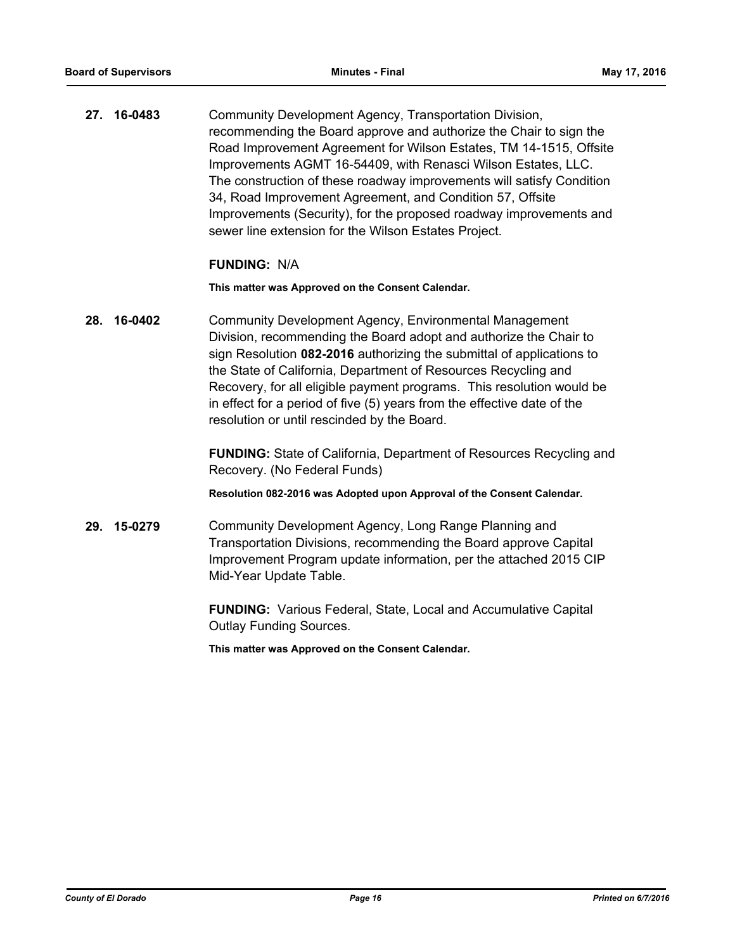**27. 16-0483** Community Development Agency, Transportation Division, recommending the Board approve and authorize the Chair to sign the Road Improvement Agreement for Wilson Estates, TM 14-1515, Offsite Improvements AGMT 16-54409, with Renasci Wilson Estates, LLC. The construction of these roadway improvements will satisfy Condition 34, Road Improvement Agreement, and Condition 57, Offsite Improvements (Security), for the proposed roadway improvements and sewer line extension for the Wilson Estates Project.

#### **FUNDING:** N/A

**This matter was Approved on the Consent Calendar.**

**28. 16-0402** Community Development Agency, Environmental Management Division, recommending the Board adopt and authorize the Chair to sign Resolution **082-2016** authorizing the submittal of applications to the State of California, Department of Resources Recycling and Recovery, for all eligible payment programs. This resolution would be in effect for a period of five (5) years from the effective date of the resolution or until rescinded by the Board.

> **FUNDING:** State of California, Department of Resources Recycling and Recovery. (No Federal Funds)

**Resolution 082-2016 was Adopted upon Approval of the Consent Calendar.**

**29. 15-0279** Community Development Agency, Long Range Planning and Transportation Divisions, recommending the Board approve Capital Improvement Program update information, per the attached 2015 CIP Mid-Year Update Table.

> **FUNDING:** Various Federal, State, Local and Accumulative Capital Outlay Funding Sources.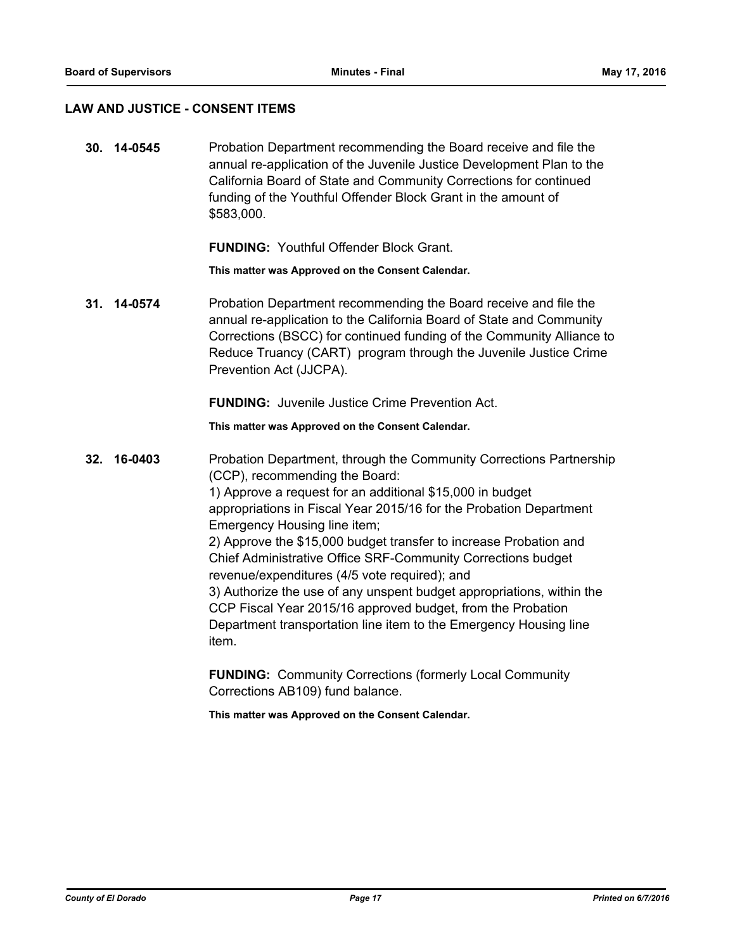#### **LAW AND JUSTICE - CONSENT ITEMS**

**30. 14-0545** Probation Department recommending the Board receive and file the annual re-application of the Juvenile Justice Development Plan to the California Board of State and Community Corrections for continued funding of the Youthful Offender Block Grant in the amount of \$583,000.

**FUNDING:** Youthful Offender Block Grant.

**This matter was Approved on the Consent Calendar.**

**31. 14-0574** Probation Department recommending the Board receive and file the annual re-application to the California Board of State and Community Corrections (BSCC) for continued funding of the Community Alliance to Reduce Truancy (CART) program through the Juvenile Justice Crime Prevention Act (JJCPA).

**FUNDING:** Juvenile Justice Crime Prevention Act.

**This matter was Approved on the Consent Calendar.**

**32. 16-0403** Probation Department, through the Community Corrections Partnership (CCP), recommending the Board: 1) Approve a request for an additional \$15,000 in budget appropriations in Fiscal Year 2015/16 for the Probation Department Emergency Housing line item; 2) Approve the \$15,000 budget transfer to increase Probation and Chief Administrative Office SRF-Community Corrections budget revenue/expenditures (4/5 vote required); and 3) Authorize the use of any unspent budget appropriations, within the CCP Fiscal Year 2015/16 approved budget, from the Probation Department transportation line item to the Emergency Housing line item.

> **FUNDING:** Community Corrections (formerly Local Community Corrections AB109) fund balance.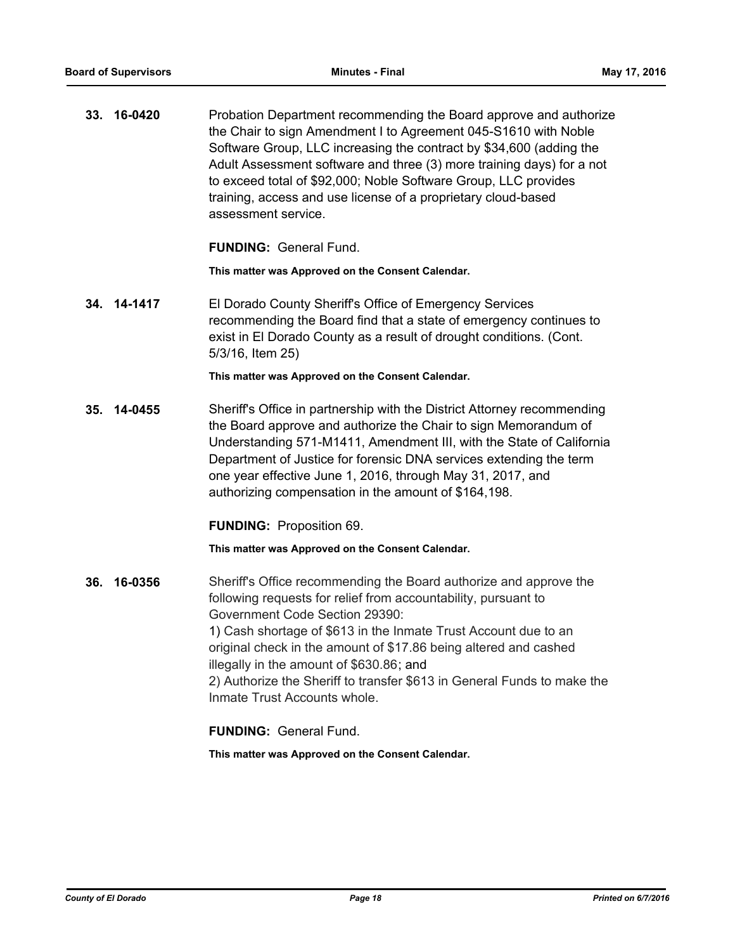**33. 16-0420** Probation Department recommending the Board approve and authorize the Chair to sign Amendment I to Agreement 045-S1610 with Noble Software Group, LLC increasing the contract by \$34,600 (adding the Adult Assessment software and three (3) more training days) for a not to exceed total of \$92,000; Noble Software Group, LLC provides training, access and use license of a proprietary cloud-based assessment service.

**FUNDING:** General Fund.

**This matter was Approved on the Consent Calendar.**

**34. 14-1417** El Dorado County Sheriff's Office of Emergency Services recommending the Board find that a state of emergency continues to exist in El Dorado County as a result of drought conditions. (Cont. 5/3/16, Item 25)

**This matter was Approved on the Consent Calendar.**

**35. 14-0455** Sheriff's Office in partnership with the District Attorney recommending the Board approve and authorize the Chair to sign Memorandum of Understanding 571-M1411, Amendment III, with the State of California Department of Justice for forensic DNA services extending the term one year effective June 1, 2016, through May 31, 2017, and authorizing compensation in the amount of \$164,198.

**FUNDING:** Proposition 69.

**This matter was Approved on the Consent Calendar.**

**36. 16-0356** Sheriff's Office recommending the Board authorize and approve the following requests for relief from accountability, pursuant to Government Code Section 29390: 1) Cash shortage of \$613 in the Inmate Trust Account due to an original check in the amount of \$17.86 being altered and cashed illegally in the amount of \$630.86; and 2) Authorize the Sheriff to transfer \$613 in General Funds to make the Inmate Trust Accounts whole.

**FUNDING:** General Fund.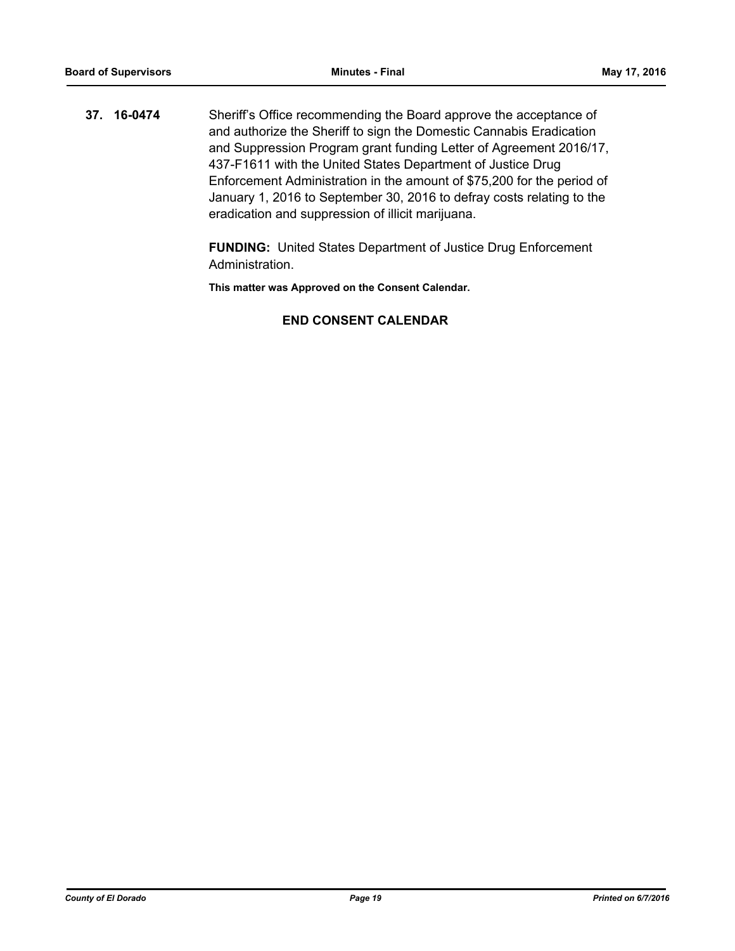**37. 16-0474** Sheriff's Office recommending the Board approve the acceptance of and authorize the Sheriff to sign the Domestic Cannabis Eradication and Suppression Program grant funding Letter of Agreement 2016/17, 437-F1611 with the United States Department of Justice Drug Enforcement Administration in the amount of \$75,200 for the period of January 1, 2016 to September 30, 2016 to defray costs relating to the eradication and suppression of illicit marijuana.

> **FUNDING:** United States Department of Justice Drug Enforcement Administration.

**This matter was Approved on the Consent Calendar.**

## **END CONSENT CALENDAR**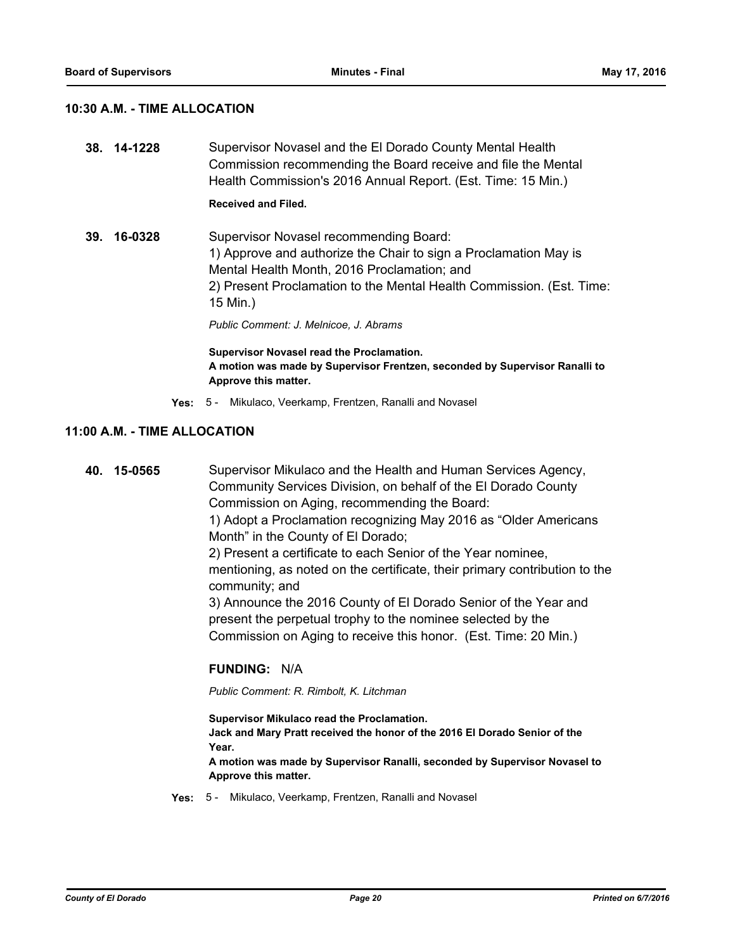#### **10:30 A.M. - TIME ALLOCATION**

**38. 14-1228** Supervisor Novasel and the El Dorado County Mental Health Commission recommending the Board receive and file the Mental Health Commission's 2016 Annual Report. (Est. Time: 15 Min.)

## **Received and Filed.**

**39. 16-0328** Supervisor Novasel recommending Board: 1) Approve and authorize the Chair to sign a Proclamation May is Mental Health Month, 2016 Proclamation; and 2) Present Proclamation to the Mental Health Commission. (Est. Time: 15 Min.)

*Public Comment: J. Melnicoe, J. Abrams*

**Supervisor Novasel read the Proclamation. A motion was made by Supervisor Frentzen, seconded by Supervisor Ranalli to Approve this matter.**

**Yes:** 5 - Mikulaco, Veerkamp, Frentzen, Ranalli and Novasel

## **11:00 A.M. - TIME ALLOCATION**

**40. 15-0565** Supervisor Mikulaco and the Health and Human Services Agency, Community Services Division, on behalf of the El Dorado County Commission on Aging, recommending the Board: 1) Adopt a Proclamation recognizing May 2016 as "Older Americans Month" in the County of El Dorado; 2) Present a certificate to each Senior of the Year nominee, mentioning, as noted on the certificate, their primary contribution to the community; and 3) Announce the 2016 County of El Dorado Senior of the Year and present the perpetual trophy to the nominee selected by the Commission on Aging to receive this honor. (Est. Time: 20 Min.)

## **FUNDING:** N/A

*Public Comment: R. Rimbolt, K. Litchman*

**Supervisor Mikulaco read the Proclamation. Jack and Mary Pratt received the honor of the 2016 El Dorado Senior of the Year. A motion was made by Supervisor Ranalli, seconded by Supervisor Novasel to** 

**Approve this matter.**

**Yes:** 5 - Mikulaco, Veerkamp, Frentzen, Ranalli and Novasel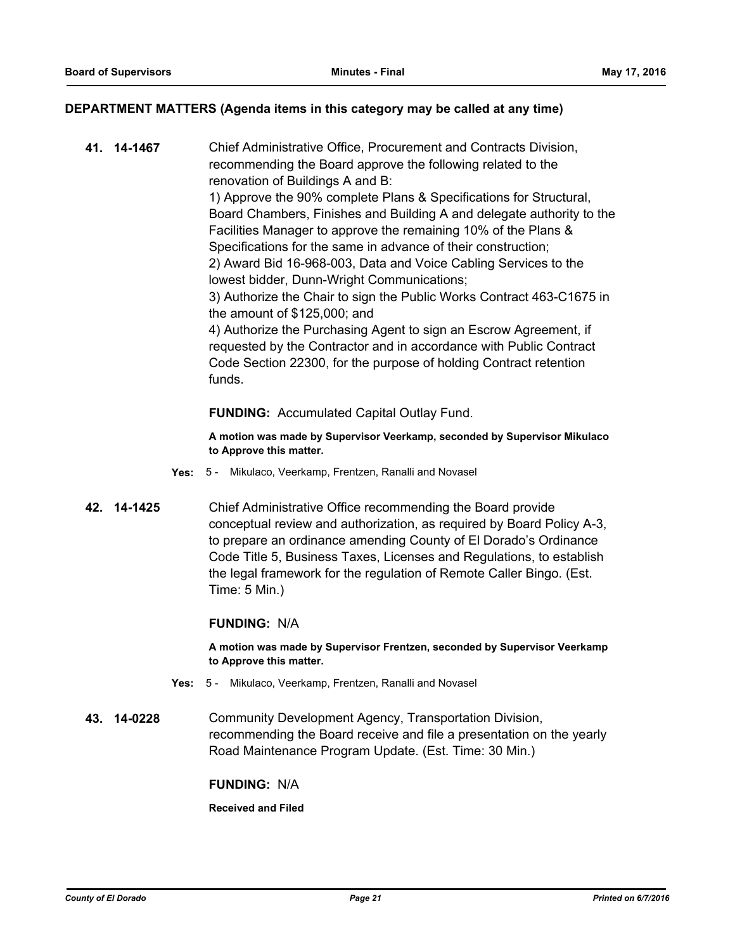#### **DEPARTMENT MATTERS (Agenda items in this category may be called at any time)**

**41. 14-1467** Chief Administrative Office, Procurement and Contracts Division, recommending the Board approve the following related to the renovation of Buildings A and B: 1) Approve the 90% complete Plans & Specifications for Structural, Board Chambers, Finishes and Building A and delegate authority to the Facilities Manager to approve the remaining 10% of the Plans & Specifications for the same in advance of their construction; 2) Award Bid 16-968-003, Data and Voice Cabling Services to the lowest bidder, Dunn-Wright Communications; 3) Authorize the Chair to sign the Public Works Contract 463-C1675 in the amount of \$125,000; and 4) Authorize the Purchasing Agent to sign an Escrow Agreement, if requested by the Contractor and in accordance with Public Contract Code Section 22300, for the purpose of holding Contract retention funds.

#### **FUNDING:** Accumulated Capital Outlay Fund.

**A motion was made by Supervisor Veerkamp, seconded by Supervisor Mikulaco to Approve this matter.**

- **Yes:** 5 Mikulaco, Veerkamp, Frentzen, Ranalli and Novasel
- **42. 14-1425** Chief Administrative Office recommending the Board provide conceptual review and authorization, as required by Board Policy A-3, to prepare an ordinance amending County of El Dorado's Ordinance Code Title 5, Business Taxes, Licenses and Regulations, to establish the legal framework for the regulation of Remote Caller Bingo. (Est. Time: 5 Min.)

#### **FUNDING:** N/A

**A motion was made by Supervisor Frentzen, seconded by Supervisor Veerkamp to Approve this matter.**

- **Yes:** 5 Mikulaco, Veerkamp, Frentzen, Ranalli and Novasel
- **43. 14-0228** Community Development Agency, Transportation Division, recommending the Board receive and file a presentation on the yearly Road Maintenance Program Update. (Est. Time: 30 Min.)

#### **FUNDING:** N/A

**Received and Filed**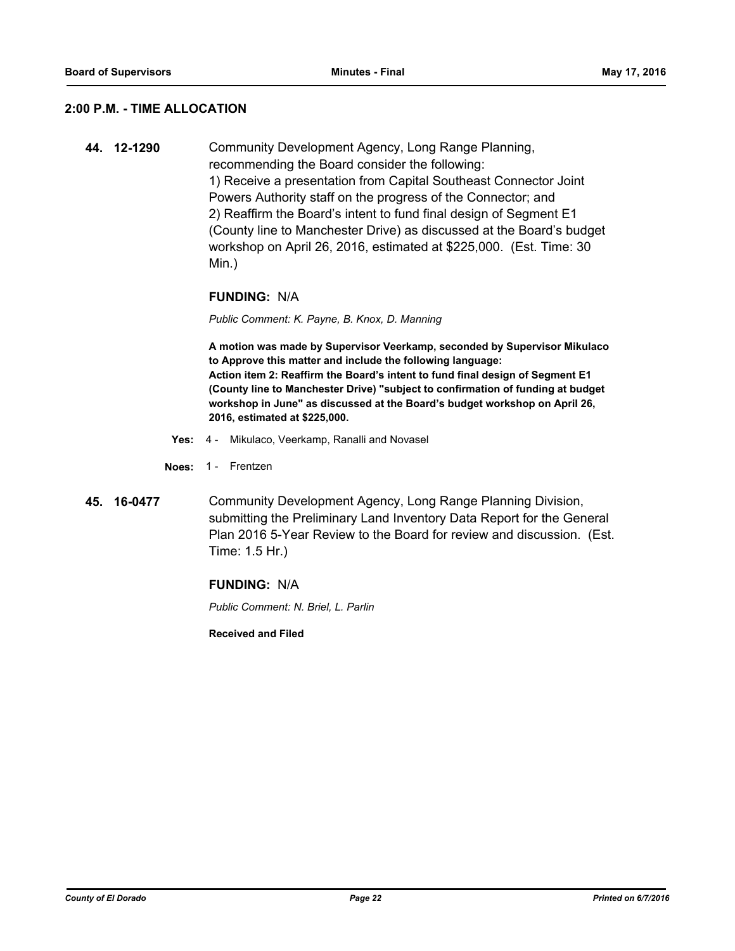#### **2:00 P.M. - TIME ALLOCATION**

**44. 12-1290** Community Development Agency, Long Range Planning, recommending the Board consider the following: 1) Receive a presentation from Capital Southeast Connector Joint Powers Authority staff on the progress of the Connector; and 2) Reaffirm the Board's intent to fund final design of Segment E1 (County line to Manchester Drive) as discussed at the Board's budget workshop on April 26, 2016, estimated at \$225,000. (Est. Time: 30 Min.)

#### **FUNDING:** N/A

*Public Comment: K. Payne, B. Knox, D. Manning*

**A motion was made by Supervisor Veerkamp, seconded by Supervisor Mikulaco to Approve this matter and include the following language: Action item 2: Reaffirm the Board's intent to fund final design of Segment E1 (County line to Manchester Drive) "subject to confirmation of funding at budget workshop in June" as discussed at the Board's budget workshop on April 26, 2016, estimated at \$225,000.**

- **Yes:** 4 Mikulaco, Veerkamp, Ranalli and Novasel
- **Noes:** 1 Frentzen
- **45. 16-0477** Community Development Agency, Long Range Planning Division, submitting the Preliminary Land Inventory Data Report for the General Plan 2016 5-Year Review to the Board for review and discussion. (Est. Time: 1.5 Hr.)

#### **FUNDING:** N/A

*Public Comment: N. Briel, L. Parlin*

**Received and Filed**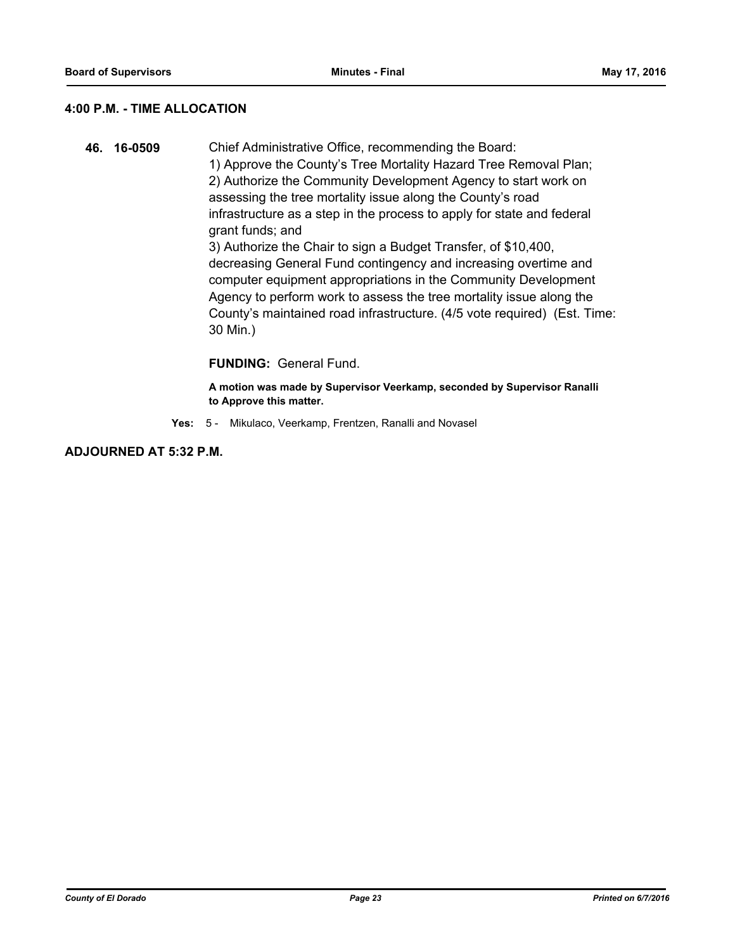## **4:00 P.M. - TIME ALLOCATION**

**46. 16-0509** Chief Administrative Office, recommending the Board: 1) Approve the County's Tree Mortality Hazard Tree Removal Plan; 2) Authorize the Community Development Agency to start work on assessing the tree mortality issue along the County's road infrastructure as a step in the process to apply for state and federal grant funds; and 3) Authorize the Chair to sign a Budget Transfer, of \$10,400, decreasing General Fund contingency and increasing overtime and computer equipment appropriations in the Community Development Agency to perform work to assess the tree mortality issue along the County's maintained road infrastructure. (4/5 vote required) (Est. Time: 30 Min.)

## **FUNDING:** General Fund.

**A motion was made by Supervisor Veerkamp, seconded by Supervisor Ranalli to Approve this matter.**

**Yes:** 5 - Mikulaco, Veerkamp, Frentzen, Ranalli and Novasel

**ADJOURNED AT 5:32 P.M.**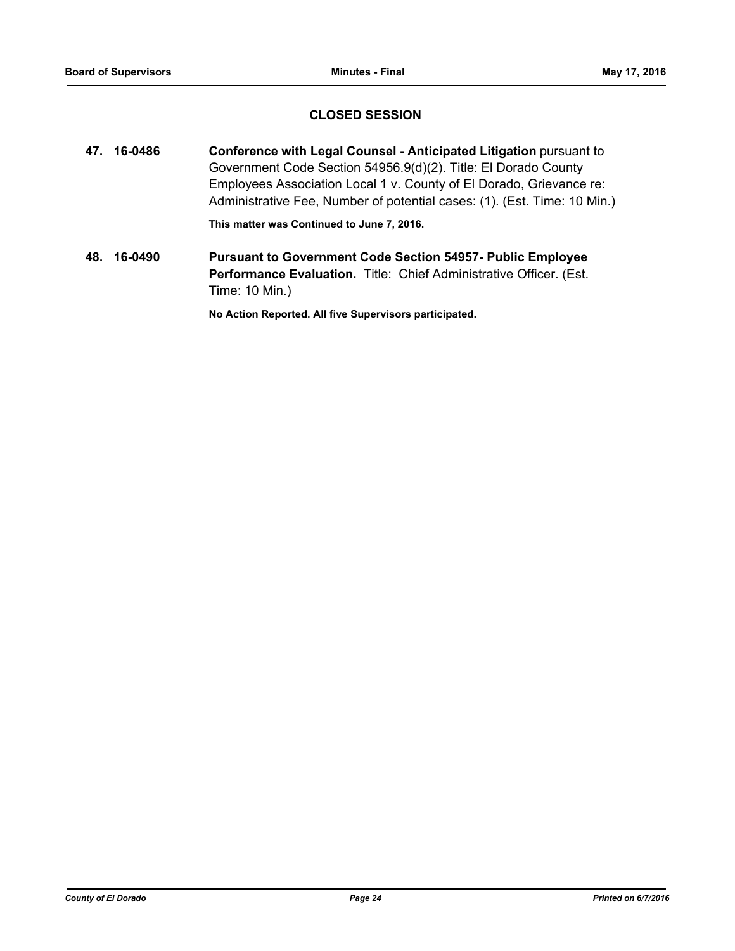## **CLOSED SESSION**

**47. 16-0486 Conference with Legal Counsel - Anticipated Litigation** pursuant to Government Code Section 54956.9(d)(2). Title: El Dorado County Employees Association Local 1 v. County of El Dorado, Grievance re: Administrative Fee, Number of potential cases: (1). (Est. Time: 10 Min.)

**This matter was Continued to June 7, 2016.**

**48. 16-0490 Pursuant to Government Code Section 54957- Public Employee Performance Evaluation.** Title: Chief Administrative Officer. (Est. Time: 10 Min.)

**No Action Reported. All five Supervisors participated.**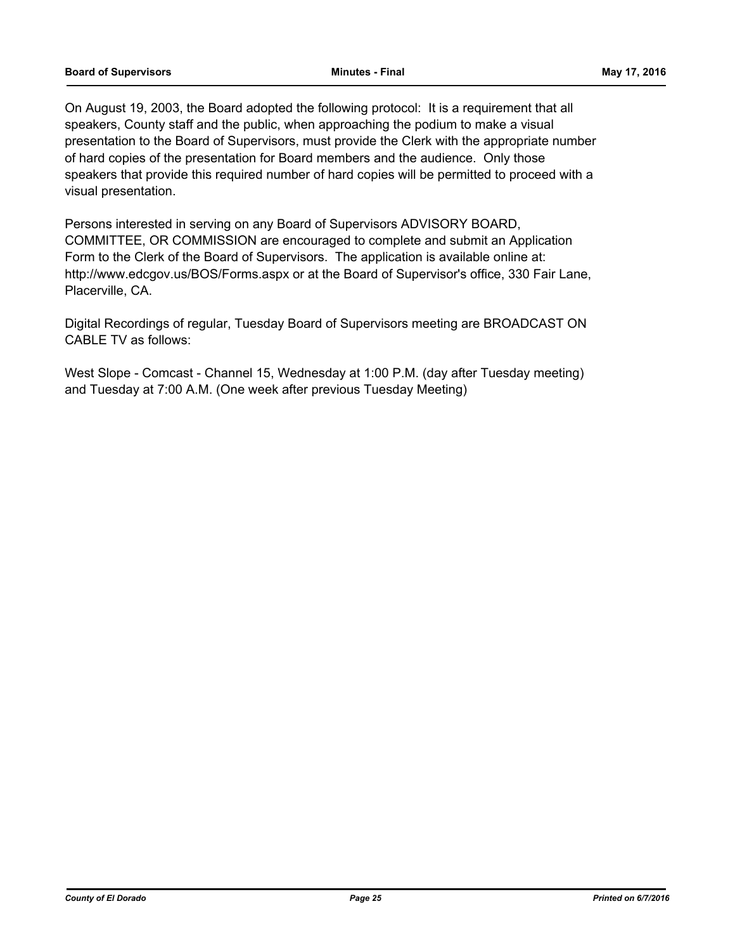On August 19, 2003, the Board adopted the following protocol: It is a requirement that all speakers, County staff and the public, when approaching the podium to make a visual presentation to the Board of Supervisors, must provide the Clerk with the appropriate number of hard copies of the presentation for Board members and the audience. Only those speakers that provide this required number of hard copies will be permitted to proceed with a visual presentation.

Persons interested in serving on any Board of Supervisors ADVISORY BOARD, COMMITTEE, OR COMMISSION are encouraged to complete and submit an Application Form to the Clerk of the Board of Supervisors. The application is available online at: http://www.edcgov.us/BOS/Forms.aspx or at the Board of Supervisor's office, 330 Fair Lane, Placerville, CA.

Digital Recordings of regular, Tuesday Board of Supervisors meeting are BROADCAST ON CABLE TV as follows:

West Slope - Comcast - Channel 15, Wednesday at 1:00 P.M. (day after Tuesday meeting) and Tuesday at 7:00 A.M. (One week after previous Tuesday Meeting)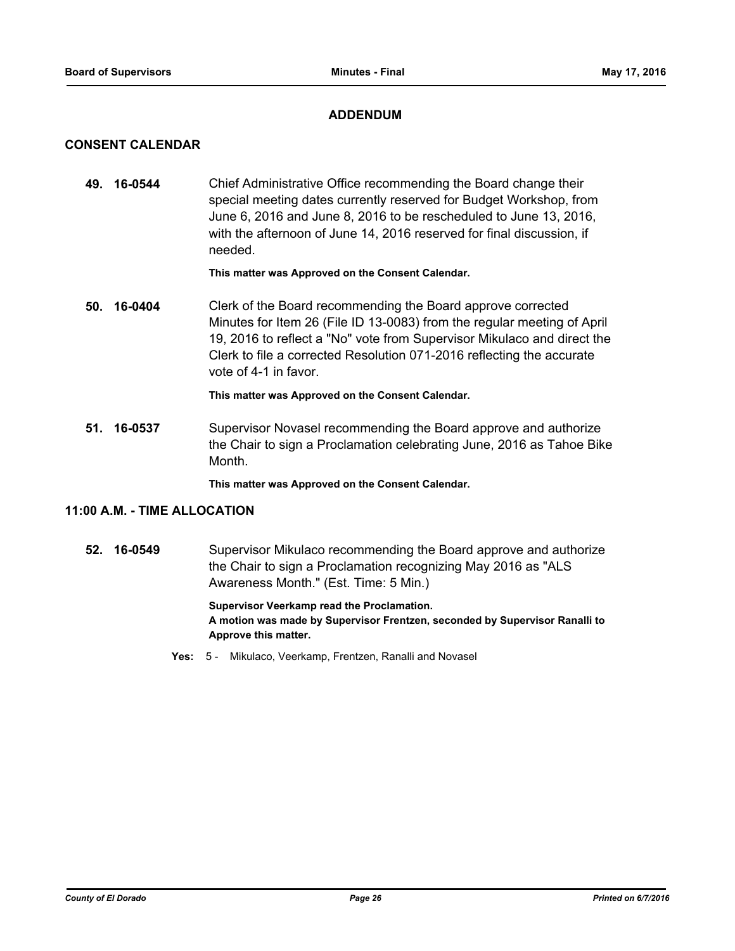## **ADDENDUM**

## **CONSENT CALENDAR**

**49. 16-0544** Chief Administrative Office recommending the Board change their special meeting dates currently reserved for Budget Workshop, from June 6, 2016 and June 8, 2016 to be rescheduled to June 13, 2016, with the afternoon of June 14, 2016 reserved for final discussion, if needed.

#### **This matter was Approved on the Consent Calendar.**

**50. 16-0404** Clerk of the Board recommending the Board approve corrected Minutes for Item 26 (File ID 13-0083) from the regular meeting of April 19, 2016 to reflect a "No" vote from Supervisor Mikulaco and direct the Clerk to file a corrected Resolution 071-2016 reflecting the accurate vote of 4-1 in favor.

**This matter was Approved on the Consent Calendar.**

**51. 16-0537** Supervisor Novasel recommending the Board approve and authorize the Chair to sign a Proclamation celebrating June, 2016 as Tahoe Bike Month.

**This matter was Approved on the Consent Calendar.**

## **11:00 A.M. - TIME ALLOCATION**

**52. 16-0549** Supervisor Mikulaco recommending the Board approve and authorize the Chair to sign a Proclamation recognizing May 2016 as "ALS Awareness Month." (Est. Time: 5 Min.)

> **Supervisor Veerkamp read the Proclamation. A motion was made by Supervisor Frentzen, seconded by Supervisor Ranalli to Approve this matter.**

**Yes:** 5 - Mikulaco, Veerkamp, Frentzen, Ranalli and Novasel